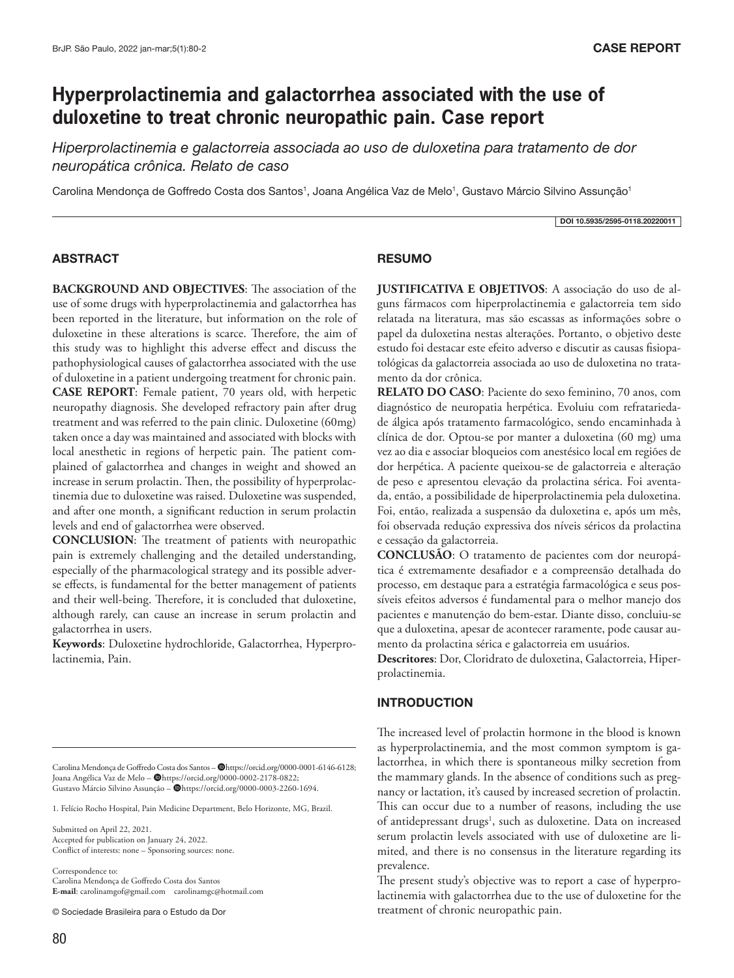# **Hyperprolactinemia and galactorrhea associated with the use of duloxetine to treat chronic neuropathic pain. Case report**

*Hiperprolactinemia e galactorreia associada ao uso de duloxetina para tratamento de dor neuropática crônica. Relato de caso*

Carolina Mendonça de Goffredo Costa dos Santos<sup>1</sup>, Joana Angélica Vaz de Melo<sup>1</sup>, Gustavo Márcio Silvino Assunção<sup>1</sup>

DOI 10.5935/2595-0118.20220011

## ABSTRACT

**BACKGROUND AND OBJECTIVES**: The association of the use of some drugs with hyperprolactinemia and galactorrhea has been reported in the literature, but information on the role of duloxetine in these alterations is scarce. Therefore, the aim of this study was to highlight this adverse effect and discuss the pathophysiological causes of galactorrhea associated with the use of duloxetine in a patient undergoing treatment for chronic pain. **CASE REPORT**: Female patient, 70 years old, with herpetic neuropathy diagnosis. She developed refractory pain after drug treatment and was referred to the pain clinic. Duloxetine (60mg) taken once a day was maintained and associated with blocks with local anesthetic in regions of herpetic pain. The patient complained of galactorrhea and changes in weight and showed an increase in serum prolactin. Then, the possibility of hyperprolactinemia due to duloxetine was raised. Duloxetine was suspended, and after one month, a significant reduction in serum prolactin levels and end of galactorrhea were observed.

**CONCLUSION**: The treatment of patients with neuropathic pain is extremely challenging and the detailed understanding, especially of the pharmacological strategy and its possible adverse effects, is fundamental for the better management of patients and their well-being. Therefore, it is concluded that duloxetine, although rarely, can cause an increase in serum prolactin and galactorrhea in users.

**Keywords**: Duloxetine hydrochloride, Galactorrhea, Hyperprolactinemia, Pain.

Carolina Mendonça de Goffredo Costa dos Santos - @https://orcid.org/0000-0001-6146-6128; Joana Angélica Vaz de Melo – @https://orcid.org/0000-0002-2178-0822; Gustavo Márcio Silvino Assunção - @https://orcid.org/0000-0003-2260-1694.

1. Felício Rocho Hospital, Pain Medicine Department, Belo Horizonte, MG, Brazil.

Submitted on April 22, 2021. Accepted for publication on January 24, 2022. Conflict of interests: none – Sponsoring sources: none.

Correspondence to: Carolina Mendonça de Goffredo Costa dos Santos **E-mail**: carolinamgof@gmail.com carolinamgc@hotmail.com

© Sociedade Brasileira para o Estudo da Dor

## **RESUMO**

**JUSTIFICATIVA E OBJETIVOS**: A associação do uso de alguns fármacos com hiperprolactinemia e galactorreia tem sido relatada na literatura, mas são escassas as informações sobre o papel da duloxetina nestas alterações. Portanto, o objetivo deste estudo foi destacar este efeito adverso e discutir as causas fisiopatológicas da galactorreia associada ao uso de duloxetina no tratamento da dor crônica.

**RELATO DO CASO**: Paciente do sexo feminino, 70 anos, com diagnóstico de neuropatia herpética. Evoluiu com refratariedade álgica após tratamento farmacológico, sendo encaminhada à clínica de dor. Optou-se por manter a duloxetina (60 mg) uma vez ao dia e associar bloqueios com anestésico local em regiões de dor herpética. A paciente queixou-se de galactorreia e alteração de peso e apresentou elevação da prolactina sérica. Foi aventada, então, a possibilidade de hiperprolactinemia pela duloxetina. Foi, então, realizada a suspensão da duloxetina e, após um mês, foi observada redução expressiva dos níveis séricos da prolactina e cessação da galactorreia.

**CONCLUSÃO**: O tratamento de pacientes com dor neuropática é extremamente desafiador e a compreensão detalhada do processo, em destaque para a estratégia farmacológica e seus possíveis efeitos adversos é fundamental para o melhor manejo dos pacientes e manutenção do bem-estar. Diante disso, concluiu-se que a duloxetina, apesar de acontecer raramente, pode causar aumento da prolactina sérica e galactorreia em usuários.

**Descritores**: Dor, Cloridrato de duloxetina, Galactorreia, Hiperprolactinemia.

## **INTRODUCTION**

The increased level of prolactin hormone in the blood is known as hyperprolactinemia, and the most common symptom is galactorrhea, in which there is spontaneous milky secretion from the mammary glands. In the absence of conditions such as pregnancy or lactation, it's caused by increased secretion of prolactin. This can occur due to a number of reasons, including the use of antidepressant drugs<sup>1</sup>, such as duloxetine. Data on increased serum prolactin levels associated with use of duloxetine are limited, and there is no consensus in the literature regarding its prevalence.

The present study's objective was to report a case of hyperprolactinemia with galactorrhea due to the use of duloxetine for the treatment of chronic neuropathic pain.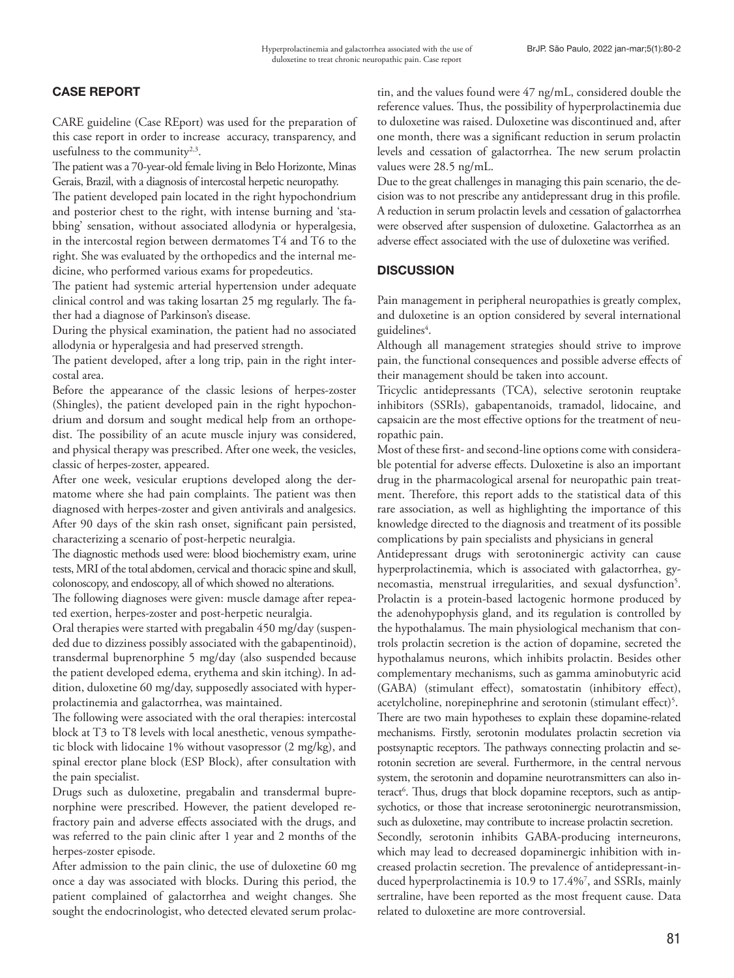# CASE REPORT

CARE guideline (Case REport) was used for the preparation of this case report in order to increase accuracy, transparency, and usefulness to the community<sup>2,3</sup>.

The patient was a 70-year-old female living in Belo Horizonte, Minas Gerais, Brazil, with a diagnosis of intercostal herpetic neuropathy.

The patient developed pain located in the right hypochondrium and posterior chest to the right, with intense burning and 'stabbing' sensation, without associated allodynia or hyperalgesia, in the intercostal region between dermatomes T4 and T6 to the right. She was evaluated by the orthopedics and the internal medicine, who performed various exams for propedeutics.

The patient had systemic arterial hypertension under adequate clinical control and was taking losartan 25 mg regularly. The father had a diagnose of Parkinson's disease.

During the physical examination, the patient had no associated allodynia or hyperalgesia and had preserved strength.

The patient developed, after a long trip, pain in the right intercostal area.

Before the appearance of the classic lesions of herpes-zoster (Shingles), the patient developed pain in the right hypochondrium and dorsum and sought medical help from an orthopedist. The possibility of an acute muscle injury was considered, and physical therapy was prescribed. After one week, the vesicles, classic of herpes-zoster, appeared.

After one week, vesicular eruptions developed along the dermatome where she had pain complaints. The patient was then diagnosed with herpes-zoster and given antivirals and analgesics. After 90 days of the skin rash onset, significant pain persisted, characterizing a scenario of post-herpetic neuralgia.

The diagnostic methods used were: blood biochemistry exam, urine tests, MRI of the total abdomen, cervical and thoracic spine and skull, colonoscopy, and endoscopy, all of which showed no alterations.

The following diagnoses were given: muscle damage after repeated exertion, herpes-zoster and post-herpetic neuralgia.

Oral therapies were started with pregabalin 450 mg/day (suspended due to dizziness possibly associated with the gabapentinoid), transdermal buprenorphine 5 mg/day (also suspended because the patient developed edema, erythema and skin itching). In addition, duloxetine 60 mg/day, supposedly associated with hyperprolactinemia and galactorrhea, was maintained.

The following were associated with the oral therapies: intercostal block at T3 to T8 levels with local anesthetic, venous sympathetic block with lidocaine 1% without vasopressor (2 mg/kg), and spinal erector plane block (ESP Block), after consultation with the pain specialist.

Drugs such as duloxetine, pregabalin and transdermal buprenorphine were prescribed. However, the patient developed refractory pain and adverse effects associated with the drugs, and was referred to the pain clinic after 1 year and 2 months of the herpes-zoster episode.

After admission to the pain clinic, the use of duloxetine 60 mg once a day was associated with blocks. During this period, the patient complained of galactorrhea and weight changes. She sought the endocrinologist, who detected elevated serum prolactin, and the values found were 47 ng/mL, considered double the reference values. Thus, the possibility of hyperprolactinemia due to duloxetine was raised. Duloxetine was discontinued and, after one month, there was a significant reduction in serum prolactin levels and cessation of galactorrhea. The new serum prolactin values were 28.5 ng/mL.

Due to the great challenges in managing this pain scenario, the decision was to not prescribe any antidepressant drug in this profile. A reduction in serum prolactin levels and cessation of galactorrhea were observed after suspension of duloxetine. Galactorrhea as an adverse effect associated with the use of duloxetine was verified.

# **DISCUSSION**

Pain management in peripheral neuropathies is greatly complex, and duloxetine is an option considered by several international guidelines<sup>4</sup>.

Although all management strategies should strive to improve pain, the functional consequences and possible adverse effects of their management should be taken into account.

Tricyclic antidepressants (TCA), selective serotonin reuptake inhibitors (SSRIs), gabapentanoids, tramadol, lidocaine, and capsaicin are the most effective options for the treatment of neuropathic pain.

Most of these first- and second-line options come with considerable potential for adverse effects. Duloxetine is also an important drug in the pharmacological arsenal for neuropathic pain treatment. Therefore, this report adds to the statistical data of this rare association, as well as highlighting the importance of this knowledge directed to the diagnosis and treatment of its possible complications by pain specialists and physicians in general

Antidepressant drugs with serotoninergic activity can cause hyperprolactinemia, which is associated with galactorrhea, gynecomastia, menstrual irregularities, and sexual dysfunction<sup>5</sup>. Prolactin is a protein-based lactogenic hormone produced by the adenohypophysis gland, and its regulation is controlled by the hypothalamus. The main physiological mechanism that controls prolactin secretion is the action of dopamine, secreted the hypothalamus neurons, which inhibits prolactin. Besides other complementary mechanisms, such as gamma aminobutyric acid (GABA) (stimulant effect), somatostatin (inhibitory effect), acetylcholine, norepinephrine and serotonin (stimulant effect)<sup>5</sup>. There are two main hypotheses to explain these dopamine-related mechanisms. Firstly, serotonin modulates prolactin secretion via postsynaptic receptors. The pathways connecting prolactin and serotonin secretion are several. Furthermore, in the central nervous system, the serotonin and dopamine neurotransmitters can also interact<sup>6</sup>. Thus, drugs that block dopamine receptors, such as antipsychotics, or those that increase serotoninergic neurotransmission, such as duloxetine, may contribute to increase prolactin secretion.

Secondly, serotonin inhibits GABA-producing interneurons, which may lead to decreased dopaminergic inhibition with increased prolactin secretion. The prevalence of antidepressant-induced hyperprolactinemia is 10.9 to 17.4%7 , and SSRIs, mainly sertraline, have been reported as the most frequent cause. Data related to duloxetine are more controversial.